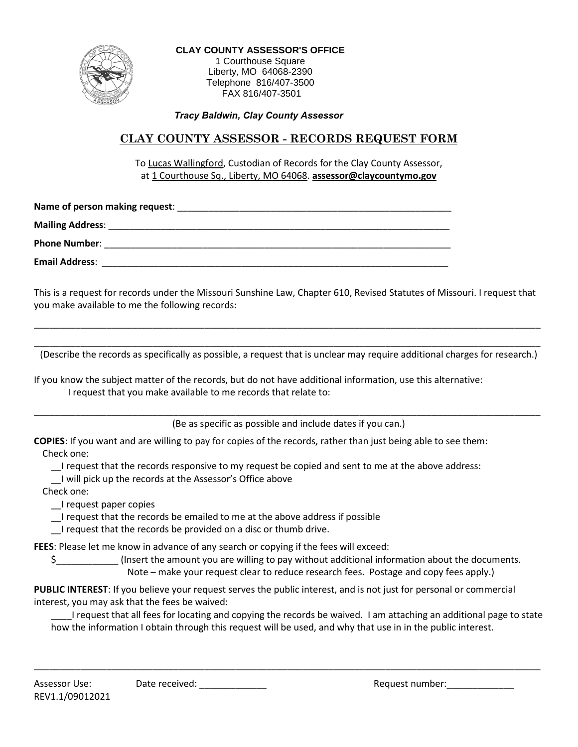

**CLAY COUNTY ASSESSOR'S OFFICE** 1 Courthouse Square Liberty, MO 64068-2390 Telephone 816/407-3500 FAX 816/407-3501

*Tracy Baldwin, Clay County Assessor*

## **CLAY COUNTY ASSESSOR - RECORDS REQUEST FORM**

To Lucas Wallingford, Custodian of Records for the Clay County Assessor, at 1 Courthouse Sq., Liberty, MO 64068. **assessor@claycountymo.gov**

**Name of person making request**: \_\_\_\_\_\_\_\_\_\_\_\_\_\_\_\_\_\_\_\_\_\_\_\_\_\_\_\_\_\_\_\_\_\_\_\_\_\_\_\_\_\_\_\_\_\_\_\_\_\_\_\_\_ **Mailing Address: Example 20 Phone Number**: \_\_\_\_\_\_\_\_\_\_\_\_\_\_\_\_\_\_\_\_\_\_\_\_\_\_\_\_\_\_\_\_\_\_\_\_\_\_\_\_\_\_\_\_\_\_\_\_\_\_\_\_\_\_\_\_\_\_\_\_\_\_\_\_\_\_\_ **Email Address**: \_\_\_\_\_\_\_\_\_\_\_\_\_\_\_\_\_\_\_\_\_\_\_\_\_\_\_\_\_\_\_\_\_\_\_\_\_\_\_\_\_\_\_\_\_\_\_\_\_\_\_\_\_\_\_\_\_\_\_\_\_\_\_\_\_\_\_

This is a request for records under the Missouri Sunshine Law, Chapter 610, Revised Statutes of Missouri. I request that you make available to me the following records:

\_\_\_\_\_\_\_\_\_\_\_\_\_\_\_\_\_\_\_\_\_\_\_\_\_\_\_\_\_\_\_\_\_\_\_\_\_\_\_\_\_\_\_\_\_\_\_\_\_\_\_\_\_\_\_\_\_\_\_\_\_\_\_\_\_\_\_\_\_\_\_\_\_\_\_\_\_\_\_\_\_\_\_\_\_\_\_\_\_\_\_\_\_\_\_\_\_\_

\_\_\_\_\_\_\_\_\_\_\_\_\_\_\_\_\_\_\_\_\_\_\_\_\_\_\_\_\_\_\_\_\_\_\_\_\_\_\_\_\_\_\_\_\_\_\_\_\_\_\_\_\_\_\_\_\_\_\_\_\_\_\_\_\_\_\_\_\_\_\_\_\_\_\_\_\_\_\_\_\_\_\_\_\_\_\_\_\_\_\_\_\_\_\_\_\_\_ (Describe the records as specifically as possible, a request that is unclear may require additional charges for research.)

If you know the subject matter of the records, but do not have additional information, use this alternative: I request that you make available to me records that relate to:

\_\_\_\_\_\_\_\_\_\_\_\_\_\_\_\_\_\_\_\_\_\_\_\_\_\_\_\_\_\_\_\_\_\_\_\_\_\_\_\_\_\_\_\_\_\_\_\_\_\_\_\_\_\_\_\_\_\_\_\_\_\_\_\_\_\_\_\_\_\_\_\_\_\_\_\_\_\_\_\_\_\_\_\_\_\_\_\_\_\_\_\_\_\_\_\_\_\_ (Be as specific as possible and include dates if you can.)

**COPIES**: If you want and are willing to pay for copies of the records, rather than just being able to see them: Check one:

\_\_I request that the records responsive to my request be copied and sent to me at the above address:

\_\_I will pick up the records at the Assessor's Office above

Check one:

\_\_I request paper copies

\_\_I request that the records be emailed to me at the above address if possible

I request that the records be provided on a disc or thumb drive.

**FEES**: Please let me know in advance of any search or copying if the fees will exceed:

\$\_\_\_\_\_\_\_\_\_\_\_\_ (Insert the amount you are willing to pay without additional information about the documents.

Note – make your request clear to reduce research fees. Postage and copy fees apply.)

**PUBLIC INTEREST**: If you believe your request serves the public interest, and is not just for personal or commercial interest, you may ask that the fees be waived:

\_\_\_\_I request that all fees for locating and copying the records be waived. I am attaching an additional page to state how the information I obtain through this request will be used, and why that use in in the public interest.

\_\_\_\_\_\_\_\_\_\_\_\_\_\_\_\_\_\_\_\_\_\_\_\_\_\_\_\_\_\_\_\_\_\_\_\_\_\_\_\_\_\_\_\_\_\_\_\_\_\_\_\_\_\_\_\_\_\_\_\_\_\_\_\_\_\_\_\_\_\_\_\_\_\_\_\_\_\_\_\_\_\_\_\_\_\_\_\_\_\_\_\_\_\_\_\_\_\_